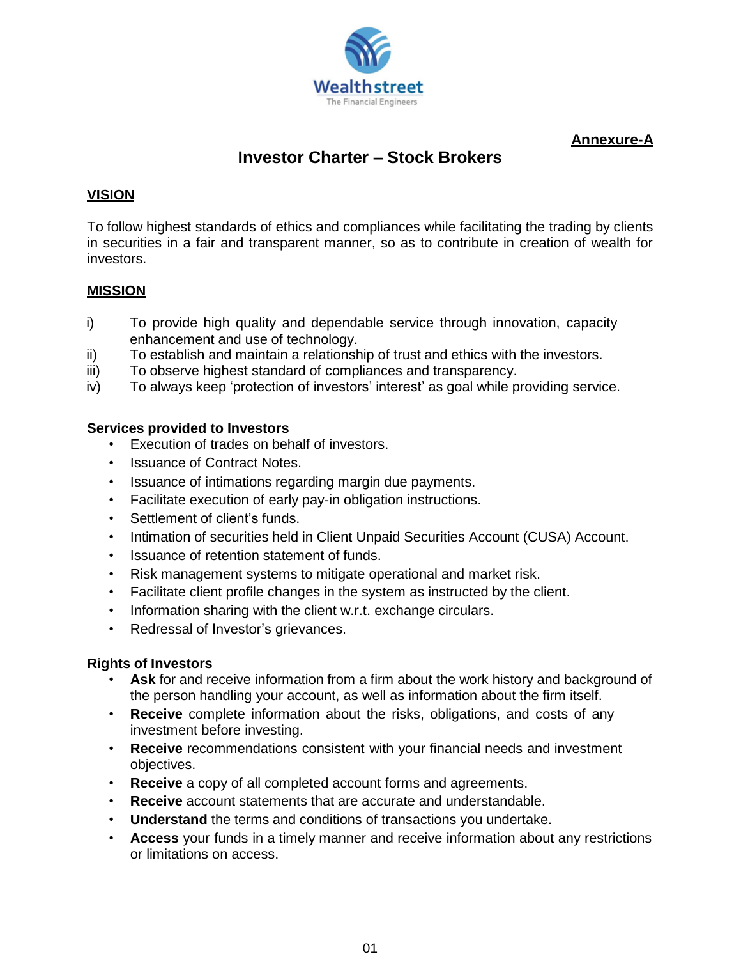

**Annexure-A**

# **Investor Charter – Stock Brokers**

## **VISION**

To follow highest standards of ethics and compliances while facilitating the trading by clients in securities in a fair and transparent manner, so as to contribute in creation of wealth for investors.

## **MISSION**

- i) To provide high quality and dependable service through innovation, capacity enhancement and use of technology.
- ii) To establish and maintain a relationship of trust and ethics with the investors.
- iii) To observe highest standard of compliances and transparency.
- iv) To always keep 'protection of investors' interest' as goal while providing service.

## **Services provided to Investors**

- Execution of trades on behalf of investors.
- Issuance of Contract Notes.
- Issuance of intimations regarding margin due payments.
- Facilitate execution of early pay-in obligation instructions.
- Settlement of client's funds.
- Intimation of securities held in Client Unpaid Securities Account (CUSA) Account.
- Issuance of retention statement of funds.
- Risk management systems to mitigate operational and market risk.
- Facilitate client profile changes in the system as instructed by the client.
- Information sharing with the client w.r.t. exchange circulars.
- Redressal of Investor's grievances.

#### **Rights of Investors**

- **Ask** for and receive information from a firm about the work history and background of the person handling your account, as well as information about the firm itself.
- **Receive** complete information about the risks, obligations, and costs of any investment before investing.
- **Receive** recommendations consistent with your financial needs and investment objectives.
- **Receive** a copy of all completed account forms and agreements.
- **Receive** account statements that are accurate and understandable.
- **Understand** the terms and conditions of transactions you undertake.
- **Access** your funds in a timely manner and receive information about any restrictions or limitations on access.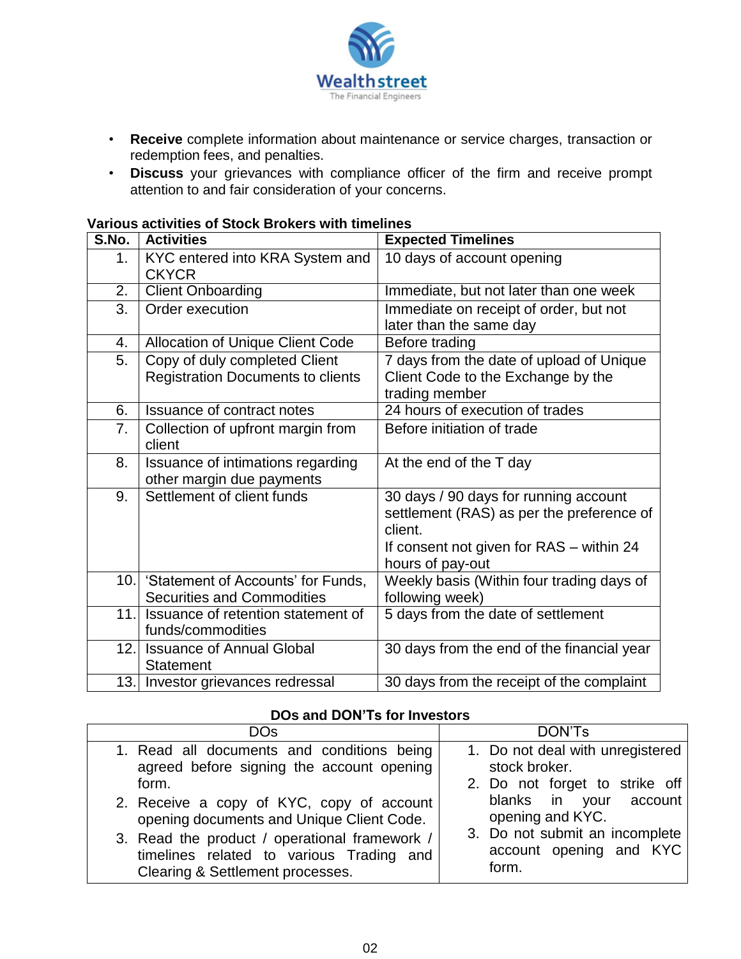

- **Receive** complete information about maintenance or service charges, transaction or redemption fees, and penalties.
- **Discuss** your grievances with compliance officer of the firm and receive prompt attention to and fair consideration of your concerns.

#### **Various activities of Stock Brokers with timelines**

| S.No. | <b>Activities</b>                                                          | <b>Expected Timelines</b>                                                                                                                                     |
|-------|----------------------------------------------------------------------------|---------------------------------------------------------------------------------------------------------------------------------------------------------------|
| 1.    | KYC entered into KRA System and<br><b>CKYCR</b>                            | 10 days of account opening                                                                                                                                    |
| 2.    | <b>Client Onboarding</b>                                                   | Immediate, but not later than one week                                                                                                                        |
| 3.    | Order execution                                                            | Immediate on receipt of order, but not<br>later than the same day                                                                                             |
| 4.    | <b>Allocation of Unique Client Code</b>                                    | Before trading                                                                                                                                                |
| 5.    | Copy of duly completed Client<br><b>Registration Documents to clients</b>  | 7 days from the date of upload of Unique<br>Client Code to the Exchange by the                                                                                |
|       |                                                                            | trading member                                                                                                                                                |
| 6.    | <b>Issuance of contract notes</b>                                          | 24 hours of execution of trades                                                                                                                               |
| 7.    | Collection of upfront margin from<br>client                                | Before initiation of trade                                                                                                                                    |
| 8.    | Issuance of intimations regarding<br>other margin due payments             | At the end of the T day                                                                                                                                       |
| 9.    | Settlement of client funds                                                 | 30 days / 90 days for running account<br>settlement (RAS) as per the preference of<br>client.<br>If consent not given for RAS - within 24<br>hours of pay-out |
|       | 10. Statement of Accounts' for Funds,<br><b>Securities and Commodities</b> | Weekly basis (Within four trading days of<br>following week)                                                                                                  |
| 11.1  | Issuance of retention statement of<br>funds/commodities                    | 5 days from the date of settlement                                                                                                                            |
| 12.   | <b>Issuance of Annual Global</b><br><b>Statement</b>                       | 30 days from the end of the financial year                                                                                                                    |
|       | 13. Investor grievances redressal                                          | 30 days from the receipt of the complaint                                                                                                                     |

#### **DOs and DON'Ts for Investors**

| DOs                                           | DON'Ts                           |
|-----------------------------------------------|----------------------------------|
| 1. Read all documents and conditions being    | 1. Do not deal with unregistered |
| agreed before signing the account opening     | stock broker.                    |
| form.                                         | 2. Do not forget to strike off   |
| 2. Receive a copy of KYC, copy of account     | blanks in your account           |
| opening documents and Unique Client Code.     | opening and KYC.                 |
| 3. Read the product / operational framework / | 3. Do not submit an incomplete   |
| timelines related to various Trading and      | account opening and KYC          |
| Clearing & Settlement processes.              | form.                            |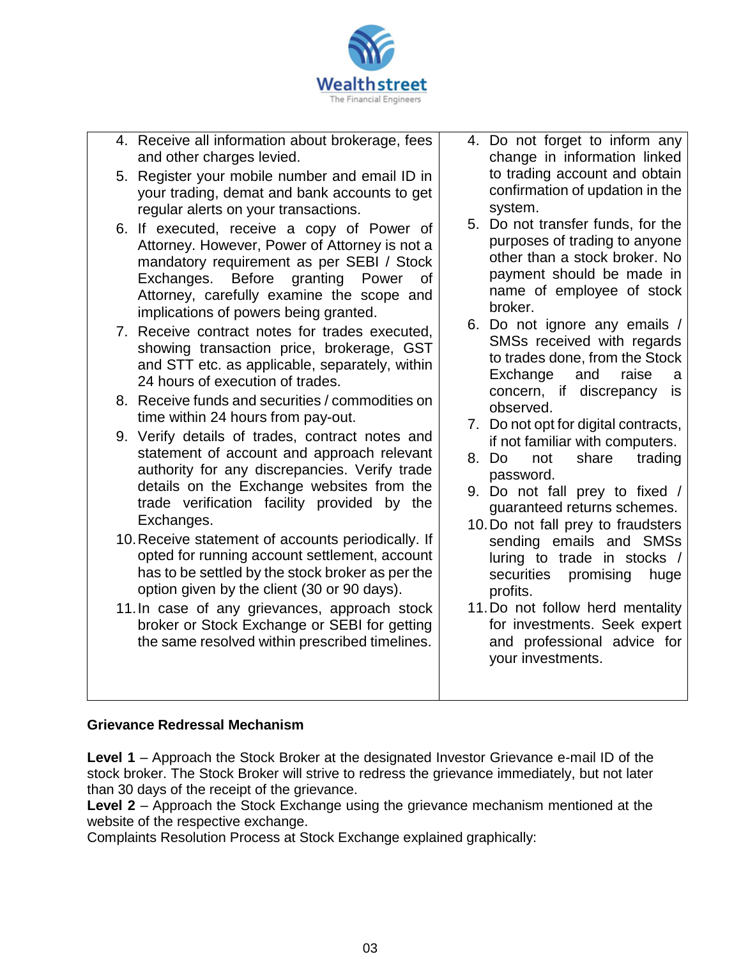

- 4. Receive all information about brokerage, fees and other charges levied.
- 5. Register your mobile number and email ID in your trading, demat and bank accounts to get regular alerts on your transactions.
- 6. If executed, receive a copy of Power of Attorney. However, Power of Attorney is not a mandatory requirement as per SEBI / Stock Exchanges. Before granting Power of Attorney, carefully examine the scope and implications of powers being granted.
- 7. Receive contract notes for trades executed, showing transaction price, brokerage, GST and STT etc. as applicable, separately, within 24 hours of execution of trades.
- 8. Receive funds and securities / commodities on time within 24 hours from pay-out.
- 9. Verify details of trades, contract notes and statement of account and approach relevant authority for any discrepancies. Verify trade details on the Exchange websites from the trade verification facility provided by the Exchanges.
- 10.Receive statement of accounts periodically. If opted for running account settlement, account has to be settled by the stock broker as per the option given by the client (30 or 90 days).
- 11.In case of any grievances, approach stock broker or Stock Exchange or SEBI for getting the same resolved within prescribed timelines.
- 4. Do not forget to inform any change in information linked to trading account and obtain confirmation of updation in the system.
- 5. Do not transfer funds, for the purposes of trading to anyone other than a stock broker. No payment should be made in name of employee of stock broker.
- 6. Do not ignore any emails / SMSs received with regards to trades done, from the Stock Exchange and raise a concern, if discrepancy is observed.
- 7. Do not opt for digital contracts, if not familiar with computers.
- 8. Do not share trading password.
- 9. Do not fall prey to fixed / guaranteed returns schemes.
- 10.Do not fall prey to fraudsters sending emails and SMSs luring to trade in stocks / securities promising huge profits.
- 11.Do not follow herd mentality for investments. Seek expert and professional advice for your investments.

# **Grievance Redressal Mechanism**

**Level 1** – Approach the Stock Broker at the designated Investor Grievance e-mail ID of the stock broker. The Stock Broker will strive to redress the grievance immediately, but not later than 30 days of the receipt of the grievance.

**Level 2** – Approach the Stock Exchange using the grievance mechanism mentioned at the website of the respective exchange.

Complaints Resolution Process at Stock Exchange explained graphically: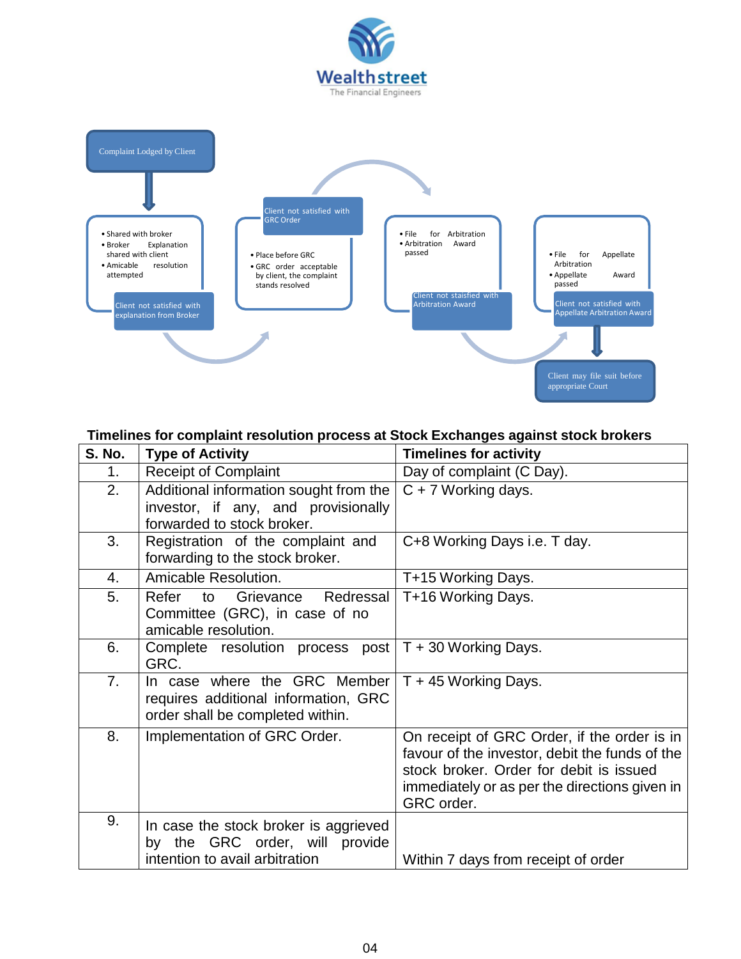



#### **Timelines for complaint resolution process at Stock Exchanges against stock brokers**

| <b>S. No.</b> | <b>Type of Activity</b>                                                                                     | <b>Timelines for activity</b>                                                                                                                                                                           |
|---------------|-------------------------------------------------------------------------------------------------------------|---------------------------------------------------------------------------------------------------------------------------------------------------------------------------------------------------------|
| 1.            | <b>Receipt of Complaint</b>                                                                                 | Day of complaint (C Day).                                                                                                                                                                               |
| 2.            | Additional information sought from the<br>investor, if any, and provisionally<br>forwarded to stock broker. | $\overline{C}$ + 7 Working days.                                                                                                                                                                        |
| 3.            | Registration of the complaint and<br>forwarding to the stock broker.                                        | C+8 Working Days i.e. T day.                                                                                                                                                                            |
| 4.            | Amicable Resolution.                                                                                        | T+15 Working Days.                                                                                                                                                                                      |
| 5.            | Redressal<br>Refer<br>Grievance<br>to<br>Committee (GRC), in case of no<br>amicable resolution.             | T+16 Working Days.                                                                                                                                                                                      |
| 6.            | Complete resolution process post $T + 30$ Working Days.<br>GRC.                                             |                                                                                                                                                                                                         |
| 7.            | In case where the GRC Member<br>requires additional information, GRC<br>order shall be completed within.    | T + 45 Working Days.                                                                                                                                                                                    |
| 8.            | Implementation of GRC Order.                                                                                | On receipt of GRC Order, if the order is in<br>favour of the investor, debit the funds of the<br>stock broker. Order for debit is issued<br>immediately or as per the directions given in<br>GRC order. |
| 9.            | In case the stock broker is aggrieved<br>by the GRC order, will provide<br>intention to avail arbitration   | Within 7 days from receipt of order                                                                                                                                                                     |